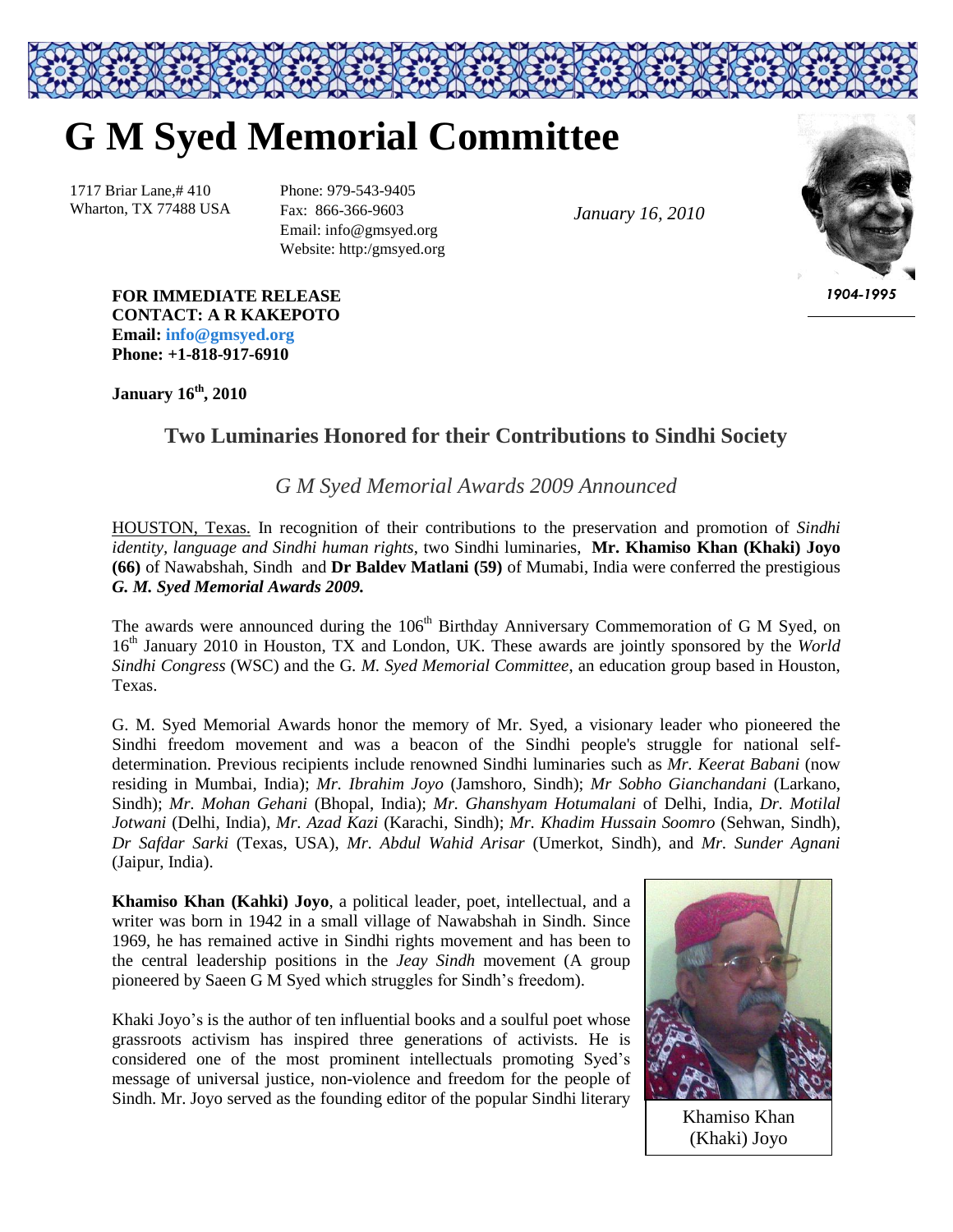## **G M Syed Memorial Committee**

1717 Briar Lane,# 410 Wharton, TX 77488 USA Phone: 979-543-9405 Fax: 866-366-9603 Email: info@gmsyed.org Website: http:/gmsyed.org

*January 16, 2010*



*1904-1995*

**FOR IMMEDIATE RELEASE CONTACT: A R KAKEPOTO Email: [info@gmsyed.org](mailto:info@gmsyed.org) Phone: +1-818-917-6910**

**January 16 th, 2010**

## **Two Luminaries Honored for their Contributions to Sindhi Society**

*G M Syed Memorial Awards 2009 Announced*

HOUSTON, Texas. In recognition of their contributions to the preservation and promotion of *Sindhi identity, language and Sindhi human rights*, two Sindhi luminaries, **Mr. Khamiso Khan (Khaki) Joyo (66)** of Nawabshah, Sindh and **Dr Baldev Matlani (59)** of Mumabi, India were conferred the prestigious *G. M. Syed Memorial Awards 2009.*

The awards were announced during the 106<sup>th</sup> Birthday Anniversary Commemoration of G M Syed, on 16<sup>th</sup> January 2010 in Houston, TX and London, UK. These awards are jointly sponsored by the *World Sindhi Congress* (WSC) and the G*. M. Syed Memorial Committee*, an education group based in Houston, Texas.

G. M. Syed Memorial Awards honor the memory of Mr. Syed, a visionary leader who pioneered the Sindhi freedom movement and was a beacon of the Sindhi people's struggle for national selfdetermination. Previous recipients include renowned Sindhi luminaries such as *Mr. Keerat Babani* (now residing in Mumbai, India); *Mr. Ibrahim Joyo* (Jamshoro, Sindh); *Mr Sobho Gianchandani* (Larkano, Sindh); *Mr. Mohan Gehani* (Bhopal, India); *Mr. Ghanshyam Hotumalani* of Delhi, India, *Dr. Motilal Jotwani* (Delhi, India), *Mr. Azad Kazi* (Karachi, Sindh); *Mr. Khadim Hussain Soomro* (Sehwan, Sindh), *Dr Safdar Sarki* (Texas, USA), *Mr. Abdul Wahid Arisar* (Umerkot, Sindh), and *Mr. Sunder Agnani* (Jaipur, India).

**Khamiso Khan (Kahki) Joyo**, a political leader, poet, intellectual, and a writer was born in 1942 in a small village of Nawabshah in Sindh. Since 1969, he has remained active in Sindhi rights movement and has been to the central leadership positions in the *Jeay Sindh* movement (A group pioneered by Saeen G M Syed which struggles for Sindh"s freedom).

Khaki Joyo's is the author of ten influential books and a soulful poet whose grassroots activism has inspired three generations of activists. He is considered one of the most prominent intellectuals promoting Syed"s message of universal justice, non-violence and freedom for the people of Sindh. Mr. Joyo served as the founding editor of the popular Sindhi literary



Khamiso Khan (Khaki) Joyo